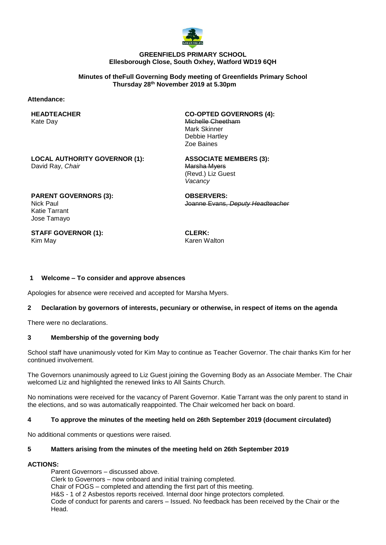

#### **GREENFIELDS PRIMARY SCHOOL Ellesborough Close, South Oxhey, Watford WD19 6QH**

**Minutes of theFull Governing Body meeting of Greenfields Primary School Thursday 28th November 2019 at 5.30pm**

#### **Attendance:**

#### **HEADTEACHER** Kate Day

**CO-OPTED GOVERNORS (4):** Michelle Cheetham Mark Skinner Debbie Hartley Zoe Baines

**LOCAL AUTHORITY GOVERNOR (1):** David Ray, *Chair*

**ASSOCIATE MEMBERS (3):** Marsha Myers (Revd.) Liz Guest *Vacancy*

**PARENT GOVERNORS (3):** Nick Paul Katie Tarrant Jose Tamayo

**OBSERVERS:** Joanne Evans, *Deputy Headteacher*

**STAFF GOVERNOR (1):** Kim May

**CLERK:** Karen Walton

## **1 Welcome – To consider and approve absences**

Apologies for absence were received and accepted for Marsha Myers.

## **2 Declaration by governors of interests, pecuniary or otherwise, in respect of items on the agenda**

There were no declarations.

## **3 Membership of the governing body**

School staff have unanimously voted for Kim May to continue as Teacher Governor. The chair thanks Kim for her continued involvement.

The Governors unanimously agreed to Liz Guest joining the Governing Body as an Associate Member. The Chair welcomed Liz and highlighted the renewed links to All Saints Church.

No nominations were received for the vacancy of Parent Governor. Katie Tarrant was the only parent to stand in the elections, and so was automatically reappointed. The Chair welcomed her back on board.

## **4 To approve the minutes of the meeting held on 26th September 2019 (document circulated)**

No additional comments or questions were raised.

#### **5 Matters arising from the minutes of the meeting held on 26th September 2019**

## **ACTIONS:**

Parent Governors – discussed above. Clerk to Governors – now onboard and initial training completed. Chair of FOGS – completed and attending the first part of this meeting. H&S - 1 of 2 Asbestos reports received. Internal door hinge protectors completed. Code of conduct for parents and carers – Issued. No feedback has been received by the Chair or the Head.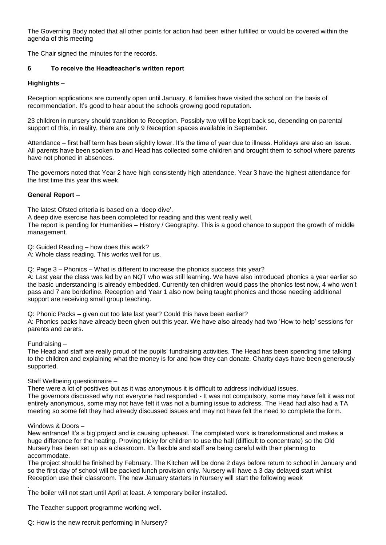The Governing Body noted that all other points for action had been either fulfilled or would be covered within the agenda of this meeting

The Chair signed the minutes for the records.

#### **6 To receive the Headteacher's written report**

#### **Highlights –**

Reception applications are currently open until January. 6 families have visited the school on the basis of recommendation. It's good to hear about the schools growing good reputation.

23 children in nursery should transition to Reception. Possibly two will be kept back so, depending on parental support of this, in reality, there are only 9 Reception spaces available in September.

Attendance – first half term has been slightly lower. It's the time of year due to illness. Holidays are also an issue. All parents have been spoken to and Head has collected some children and brought them to school where parents have not phoned in absences.

The governors noted that Year 2 have high consistently high attendance. Year 3 have the highest attendance for the first time this year this week.

#### **General Report –**

The latest Ofsted criteria is based on a 'deep dive'.

A deep dive exercise has been completed for reading and this went really well.

The report is pending for Humanities – History / Geography. This is a good chance to support the growth of middle management.

Q: Guided Reading – how does this work?

A: Whole class reading. This works well for us.

Q: Page 3 – Phonics – What is different to increase the phonics success this year?

A: Last year the class was led by an NQT who was still learning. We have also introduced phonics a year earlier so the basic understanding is already embedded. Currently ten children would pass the phonics test now, 4 who won't pass and 7 are borderline. Reception and Year 1 also now being taught phonics and those needing additional support are receiving small group teaching.

Q: Phonic Packs – given out too late last year? Could this have been earlier?

A: Phonics packs have already been given out this year. We have also already had two 'How to help' sessions for parents and carers.

Fundraising –

The Head and staff are really proud of the pupils' fundraising activities. The Head has been spending time talking to the children and explaining what the money is for and how they can donate. Charity days have been generously supported.

Staff Wellbeing questionnaire –

There were a lot of positives but as it was anonymous it is difficult to address individual issues. The governors discussed why not everyone had responded - It was not compulsory, some may have felt it was not entirely anonymous, some may not have felt it was not a burning issue to address. The Head had also had a TA meeting so some felt they had already discussed issues and may not have felt the need to complete the form.

#### Windows & Doors –

New entrance! It's a big project and is causing upheaval. The completed work is transformational and makes a huge difference for the heating. Proving tricky for children to use the hall (difficult to concentrate) so the Old Nursery has been set up as a classroom. It's flexible and staff are being careful with their planning to accommodate.

The project should be finished by February. The Kitchen will be done 2 days before return to school in January and so the first day of school will be packed lunch provision only. Nursery will have a 3 day delayed start whilst Reception use their classroom. The new January starters in Nursery will start the following week

. The boiler will not start until April at least. A temporary boiler installed.

The Teacher support programme working well.

Q: How is the new recruit performing in Nursery?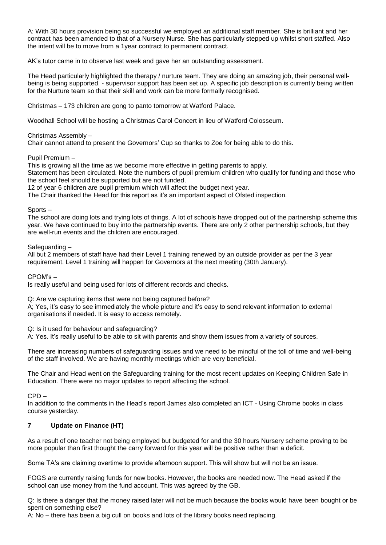A: With 30 hours provision being so successful we employed an additional staff member. She is brilliant and her contract has been amended to that of a Nursery Nurse. She has particularly stepped up whilst short staffed. Also the intent will be to move from a 1year contract to permanent contract.

AK's tutor came in to observe last week and gave her an outstanding assessment.

The Head particularly highlighted the therapy / nurture team. They are doing an amazing job, their personal wellbeing is being supported. - supervisor support has been set up. A specific job description is currently being written for the Nurture team so that their skill and work can be more formally recognised.

Christmas – 173 children are gong to panto tomorrow at Watford Palace.

Woodhall School will be hosting a Christmas Carol Concert in lieu of Watford Colosseum.

## Christmas Assembly –

Chair cannot attend to present the Governors' Cup so thanks to Zoe for being able to do this.

Pupil Premium –

This is growing all the time as we become more effective in getting parents to apply.

Statement has been circulated. Note the numbers of pupil premium children who qualify for funding and those who the school feel should be supported but are not funded.

12 of year 6 children are pupil premium which will affect the budget next year.

The Chair thanked the Head for this report as it's an important aspect of Ofsted inspection.

# Sports –

The school are doing lots and trying lots of things. A lot of schools have dropped out of the partnership scheme this year. We have continued to buy into the partnership events. There are only 2 other partnership schools, but they are well-run events and the children are encouraged.

Safeguarding –

All but 2 members of staff have had their Level 1 training renewed by an outside provider as per the 3 year requirement. Level 1 training will happen for Governors at the next meeting (30th January).

CPOM's –

Is really useful and being used for lots of different records and checks.

Q: Are we capturing items that were not being captured before?

A; Yes, it's easy to see immediately the whole picture and it's easy to send relevant information to external organisations if needed. It is easy to access remotely.

Q: Is it used for behaviour and safeguarding?

A: Yes. It's really useful to be able to sit with parents and show them issues from a variety of sources.

There are increasing numbers of safeguarding issues and we need to be mindful of the toll of time and well-being of the staff involved. We are having monthly meetings which are very beneficial.

The Chair and Head went on the Safeguarding training for the most recent updates on Keeping Children Safe in Education. There were no major updates to report affecting the school.

 $CPD -$ 

In addition to the comments in the Head's report James also completed an ICT - Using Chrome books in class course yesterday.

# **7 Update on Finance (HT)**

As a result of one teacher not being employed but budgeted for and the 30 hours Nursery scheme proving to be more popular than first thought the carry forward for this year will be positive rather than a deficit.

Some TA's are claiming overtime to provide afternoon support. This will show but will not be an issue.

FOGS are currently raising funds for new books. However, the books are needed now. The Head asked if the school can use money from the fund account. This was agreed by the GB.

Q: Is there a danger that the money raised later will not be much because the books would have been bought or be spent on something else?

A: No – there has been a big cull on books and lots of the library books need replacing.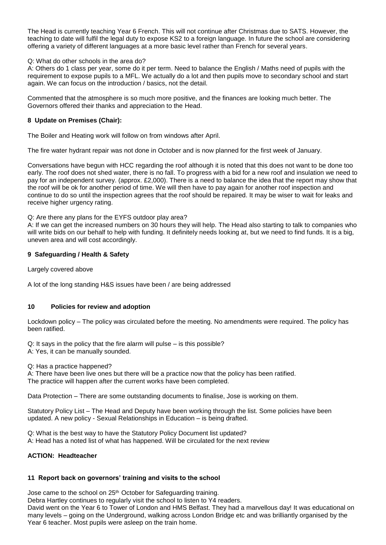The Head is currently teaching Year 6 French. This will not continue after Christmas due to SATS. However, the teaching to date will fulfil the legal duty to expose KS2 to a foreign language. In future the school are considering offering a variety of different languages at a more basic level rather than French for several years.

### Q: What do other schools in the area do?

A: Others do 1 class per year, some do it per term. Need to balance the English / Maths need of pupils with the requirement to expose pupils to a MFL. We actually do a lot and then pupils move to secondary school and start again. We can focus on the introduction / basics, not the detail.

Commented that the atmosphere is so much more positive, and the finances are looking much better. The Governors offered their thanks and appreciation to the Head.

#### **8 Update on Premises (Chair):**

The Boiler and Heating work will follow on from windows after April.

The fire water hydrant repair was not done in October and is now planned for the first week of January.

Conversations have begun with HCC regarding the roof although it is noted that this does not want to be done too early. The roof does not shed water, there is no fall. To progress with a bid for a new roof and insulation we need to pay for an independent survey. (approx. £2,000). There is a need to balance the idea that the report may show that the roof will be ok for another period of time. We will then have to pay again for another roof inspection and continue to do so until the inspection agrees that the roof should be repaired. It may be wiser to wait for leaks and receive higher urgency rating.

#### Q: Are there any plans for the EYFS outdoor play area?

A: If we can get the increased numbers on 30 hours they will help. The Head also starting to talk to companies who will write bids on our behalf to help with funding. It definitely needs looking at, but we need to find funds. It is a big, uneven area and will cost accordingly.

#### **9 Safeguarding / Health & Safety**

Largely covered above

A lot of the long standing H&S issues have been / are being addressed

## **10 Policies for review and adoption**

Lockdown policy – The policy was circulated before the meeting. No amendments were required. The policy has been ratified.

Q: It says in the policy that the fire alarm will pulse – is this possible?

A: Yes, it can be manually sounded.

Q: Has a practice happened?

A: There have been live ones but there will be a practice now that the policy has been ratified. The practice will happen after the current works have been completed.

Data Protection – There are some outstanding documents to finalise, Jose is working on them.

Statutory Policy List – The Head and Deputy have been working through the list. Some policies have been updated. A new policy - Sexual Relationships in Education – is being drafted.

Q: What is the best way to have the Statutory Policy Document list updated?

A: Head has a noted list of what has happened. Will be circulated for the next review

## **ACTION: Headteacher**

## **11 Report back on governors' training and visits to the school**

Jose came to the school on 25<sup>th</sup> October for Safeguarding training.

Debra Hartley continues to regularly visit the school to listen to Y4 readers.

David went on the Year 6 to Tower of London and HMS Belfast. They had a marvellous day! It was educational on many levels – going on the Underground, walking across London Bridge etc and was brilliantly organised by the Year 6 teacher. Most pupils were asleep on the train home.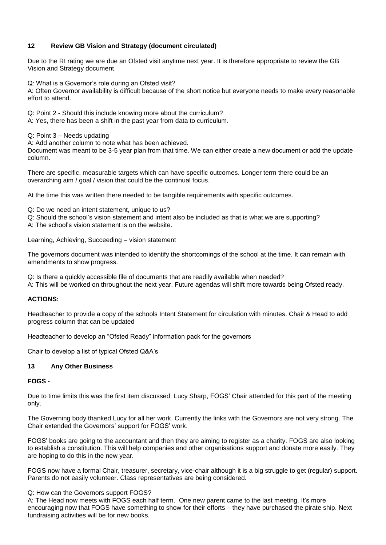## **12 Review GB Vision and Strategy (document circulated)**

Due to the RI rating we are due an Ofsted visit anytime next year. It is therefore appropriate to review the GB Vision and Strategy document.

Q: What is a Governor's role during an Ofsted visit?

A: Often Governor availability is difficult because of the short notice but everyone needs to make every reasonable effort to attend.

Q: Point 2 - Should this include knowing more about the curriculum?

A: Yes, there has been a shift in the past year from data to curriculum.

Q: Point 3 – Needs updating

A: Add another column to note what has been achieved.

Document was meant to be 3-5 year plan from that time. We can either create a new document or add the update column.

There are specific, measurable targets which can have specific outcomes. Longer term there could be an overarching aim / goal / vision that could be the continual focus.

At the time this was written there needed to be tangible requirements with specific outcomes.

Q: Do we need an intent statement, unique to us?

Q: Should the school's vision statement and intent also be included as that is what we are supporting?

A: The school's vision statement is on the website.

Learning, Achieving, Succeeding – vision statement

The governors document was intended to identify the shortcomings of the school at the time. It can remain with amendments to show progress.

Q: Is there a quickly accessible file of documents that are readily available when needed? A: This will be worked on throughout the next year. Future agendas will shift more towards being Ofsted ready.

## **ACTIONS:**

Headteacher to provide a copy of the schools Intent Statement for circulation with minutes. Chair & Head to add progress column that can be updated

Headteacher to develop an "Ofsted Ready" information pack for the governors

Chair to develop a list of typical Ofsted Q&A's

## **13 Any Other Business**

# **FOGS -**

Due to time limits this was the first item discussed. Lucy Sharp, FOGS' Chair attended for this part of the meeting only.

The Governing body thanked Lucy for all her work. Currently the links with the Governors are not very strong. The Chair extended the Governors' support for FOGS' work.

FOGS' books are going to the accountant and then they are aiming to register as a charity. FOGS are also looking to establish a constitution. This will help companies and other organisations support and donate more easily. They are hoping to do this in the new year.

FOGS now have a formal Chair, treasurer, secretary, vice-chair although it is a big struggle to get (regular) support. Parents do not easily volunteer. Class representatives are being considered.

Q: How can the Governors support FOGS?

A: The Head now meets with FOGS each half term. One new parent came to the last meeting. It's more encouraging now that FOGS have something to show for their efforts – they have purchased the pirate ship. Next fundraising activities will be for new books.